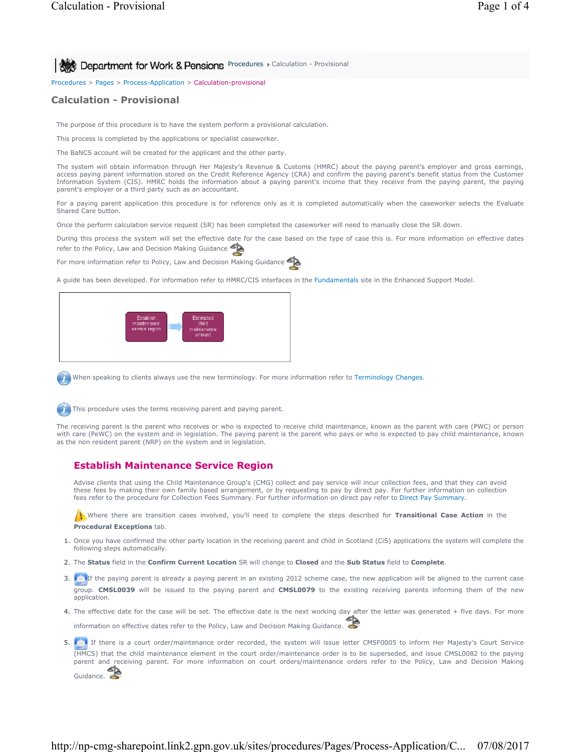**Procedures > Calculation - Provisional** 

Procedures > Pages > Process-Application > Calculation-provisional

## **Calculation - Provisional**

The purpose of this procedure is to have the system perform a provisional calculation.

This process is completed by the applications or specialist caseworker.

The BaNCS account will be created for the applicant and the other party.

The system will obtain information through Her Majesty's Revenue & Customs (HMRC) about the paying parent's employer and gross earnings, access paying parent information stored on the Credit Reference Agency (CRA) and confirm the paying parent's benefit status from the Customer Information System (CIS). HMRC holds the information about a paying parent's income that they receive from the paying parent, the paying parent's employer or a third party such as an accountant.

For a paying parent application this procedure is for reference only as it is completed automatically when the caseworker selects the Evaluate Shared Care button.

Once the perform calculation service request (SR) has been completed the caseworker will need to manually close the SR down.

During this process the system will set the effective date for the case based on the type of case this is. For more information on effective dates refer to the Policy, Law and Decision Making Guidance

For more information refer to Policy, Law and Decision Making Guidance

A guide has been developed. For information refer to HMRC/CIS interfaces in the Fundamentals site in the Enhanced Support Model.



When speaking to clients always use the new terminology. For more information refer to Terminology Changes.

This procedure uses the terms receiving parent and paying parent.

The receiving parent is the parent who receives or who is expected to receive child maintenance, known as the parent with care (PWC) or person with care (PeWC) on the system and in legislation. The paying parent is the parent who pays or who is expected to pay child maintenance, known as the non resident parent (NRP) on the system and in legislation.

# **Establish Maintenance Service Region**

Advise clients that using the Child Maintenance Group's (CMG) collect and pay service will incur collection fees, and that they can avoid these fees by making their own family based arrangement, or by requesting to pay by direct pay. For further information on collection fees refer to the procedure for Collection Fees Summary. For further information on direct pay refer to Direct Pay Summary.

Where there are transition cases involved, you'll need to complete the steps described for **Transitional Case Action** in the **Procedural Exceptions** tab.

- 1. Once you have confirmed the other party location in the receiving parent and child in Scotland (CiS) applications the system will complete the following steps automatically.
- 2. The **Status** field in the **Confirm Current Location** SR will change to **Closed** and the **Sub Status** field to **Complete**.
- 3. **In the paying parent is already a paying parent in an existing 2012 scheme case, the new application will be aligned to the current case** group. **CMSL0039** will be issued to the paying parent and **CMSL0079** to the existing receiving parents informing them of the new application.
- 4. The effective date for the case will be set. The effective date is the next working day after the letter was generated + five days. For more information on effective dates refer to the Policy, Law and Decision Making Guidance.
- 5. If If there is a court order/maintenance order recorded, the system will issue letter CMSF0005 to inform Her Majesty's Court Service (HMCS) that the child maintenance element in the court order/maintenance order is to be superseded, and issue CMSL0082 to the paying parent and receiving parent. For more information on court orders/maintenance orders refer to the Policy, Law and Decision Making Guidance.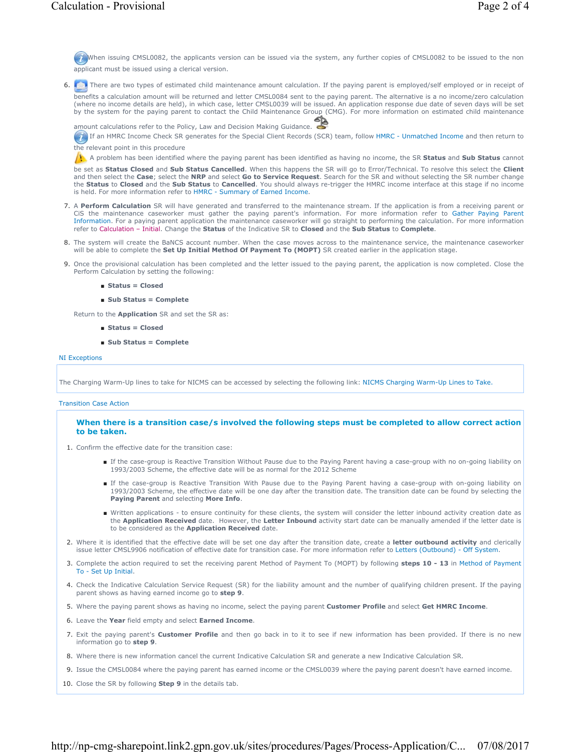When issuing CMSL0082, the applicants version can be issued via the system, any further copies of CMSL0082 to be issued to the non applicant must be issued using a clerical version.

6. There are two types of estimated child maintenance amount calculation. If the paying parent is employed/self employed or in receipt of

benefits a calculation amount will be returned and letter CMSL0084 sent to the paying parent. The alternative is a no income/zero calculation<br>(where no income details are held), in which case, letter CMSL0039 will be issue by the system for the paying parent to contact the Child Maintenance Group (CMG). For more information on estimated child maintenance

amount calculations refer to the Policy, Law and Decision Making Guidance.

If an HMRC Income Check SR generates for the Special Client Records (SCR) team, follow HMRC - Unmatched Income and then return to the relevant point in this procedure

A problem has been identified where the paying parent has been identified as having no income, the SR **Status** and **Sub Status** cannot

be set as **Status Closed** and **Sub Status Cancelled**. When this happens the SR will go to Error/Technical. To resolve this select the **Client** and then select the **Case**; select the **NRP** and select **Go to Service Request**. Search for the SR and without selecting the SR number change the **Status** to **Closed** and the **Sub Status** to **Cancelled**. You should always re-trigger the HMRC income interface at this stage if no income is held. For more information refer to HMRC - Summary of Earned Income.

- 7. A Perform Calculation SR will have generated and transferred to the maintenance stream. If the application is from a receiving parent or CiS the maintenance caseworker must gather the paying parent's information. For more information refer to Gather Paying Parent Information. For a paying parent application the maintenance caseworker will go straight to performing the calculation. For more information refer to Calculation – Initial. Change the **Status** of the Indicative SR to **Closed** and the **Sub Status** to **Complete**.
- The system will create the BaNCS account number. When the case moves across to the maintenance service, the maintenance caseworker 8. will be able to complete the **Set Up Initial Method Of Payment To (MOPT)** SR created earlier in the application stage.
- 9. Once the provisional calculation has been completed and the letter issued to the paying parent, the application is now completed. Close the Perform Calculation by setting the following:
	- **Status = Closed**
	- **Sub Status = Complete**

Return to the **Application** SR and set the SR as:

- **Status = Closed**
- **Sub Status = Complete**

#### NI Exceptions

The Charging Warm-Up lines to take for NICMS can be accessed by selecting the following link: NICMS Charging Warm-Up Lines to Take.

#### Transition Case Action

### **When there is a transition case/s involved the following steps must be completed to allow correct action to be taken.**

- 1. Confirm the effective date for the transition case:
	- If the case-group is Reactive Transition Without Pause due to the Paying Parent having a case-group with no on-going liability on 1993/2003 Scheme, the effective date will be as normal for the 2012 Scheme
	- If the case-group is Reactive Transition With Pause due to the Paying Parent having a case-group with on-going liability on 1993/2003 Scheme, the effective date will be one day after the transition date. The transition date can be found by selecting the **Paying Parent** and selecting **More Info**.
	- Written applications to ensure continuity for these clients, the system will consider the letter inbound activity creation date as the **Application Received** date. However, the **Letter Inbound** activity start date can be manually amended if the letter date is to be considered as the **Application Received** date.
- Where it is identified that the effective date will be set one day after the transition date, create a **letter outbound activity** and clerically issue letter CMSL9906 notification of effective date for transition case. For more information refer to Letters (Outbound) - Off System. 2.
- 3. Complete the action required to set the receiving parent Method of Payment To (MOPT) by following steps 10 13 in Method of Payment To - Set Up Initial.
- Check the Indicative Calculation Service Request (SR) for the liability amount and the number of qualifying children present. If the paying 4. parent shows as having earned income go to **step 9**.
- 5. Where the paying parent shows as having no income, select the paying parent **Customer Profile** and select **Get HMRC Income**.
- 6. Leave the **Year** field empty and select **Earned Income**.
- 7. Exit the paying parent's **Customer Profile** and then go back in to it to see if new information has been provided. If there is no new information go to **step 9**.
- 8. Where there is new information cancel the current Indicative Calculation SR and generate a new Indicative Calculation SR.
- 9. Issue the CMSL0084 where the paying parent has earned income or the CMSL0039 where the paying parent doesn't have earned income.
- 10. Close the SR by following **Step 9** in the details tab.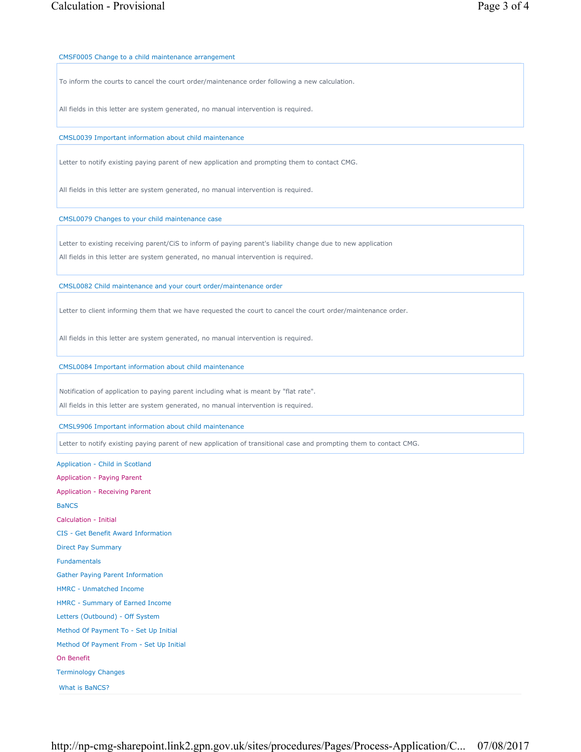CMSF0005 Change to a child maintenance arrangement

To inform the courts to cancel the court order/maintenance order following a new calculation.

All fields in this letter are system generated, no manual intervention is required.

CMSL0039 Important information about child maintenance

Letter to notify existing paying parent of new application and prompting them to contact CMG.

All fields in this letter are system generated, no manual intervention is required.

CMSL0079 Changes to your child maintenance case

Letter to existing receiving parent/CiS to inform of paying parent's liability change due to new application

All fields in this letter are system generated, no manual intervention is required.

CMSL0082 Child maintenance and your court order/maintenance order

Letter to client informing them that we have requested the court to cancel the court order/maintenance order.

All fields in this letter are system generated, no manual intervention is required.

CMSL0084 Important information about child maintenance

Notification of application to paying parent including what is meant by "flat rate".

All fields in this letter are system generated, no manual intervention is required.

CMSL9906 Important information about child maintenance

Letter to notify existing paying parent of new application of transitional case and prompting them to contact CMG.

Application - Child in Scotland Application - Paying Parent Application - Receiving Parent **BaNCS** Calculation - Initial CIS - Get Benefit Award Information Direct Pay Summary Fundamentals Gather Paying Parent Information HMRC - Unmatched Income HMRC - Summary of Earned Income Letters (Outbound) - Off System Method Of Payment To - Set Up Initial Method Of Payment From - Set Up Initial On Benefit Terminology Changes

What is BaNCS?